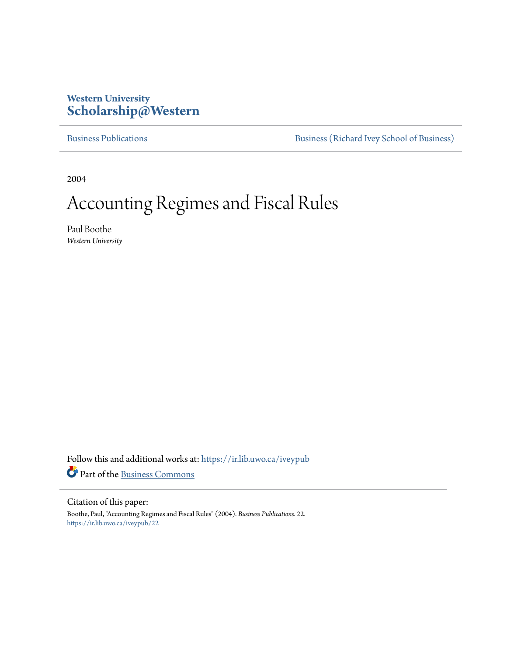## **Western University [Scholarship@Western](https://ir.lib.uwo.ca?utm_source=ir.lib.uwo.ca%2Fiveypub%2F22&utm_medium=PDF&utm_campaign=PDFCoverPages)**

[Business Publications](https://ir.lib.uwo.ca/iveypub?utm_source=ir.lib.uwo.ca%2Fiveypub%2F22&utm_medium=PDF&utm_campaign=PDFCoverPages) [Business \(Richard Ivey School of Business\)](https://ir.lib.uwo.ca/ivey?utm_source=ir.lib.uwo.ca%2Fiveypub%2F22&utm_medium=PDF&utm_campaign=PDFCoverPages)

2004

# Accounting Regimes and Fiscal Rules

Paul Boothe *Western University*

Follow this and additional works at: [https://ir.lib.uwo.ca/iveypub](https://ir.lib.uwo.ca/iveypub?utm_source=ir.lib.uwo.ca%2Fiveypub%2F22&utm_medium=PDF&utm_campaign=PDFCoverPages) Part of the [Business Commons](http://network.bepress.com/hgg/discipline/622?utm_source=ir.lib.uwo.ca%2Fiveypub%2F22&utm_medium=PDF&utm_campaign=PDFCoverPages)

### Citation of this paper:

Boothe, Paul, "Accounting Regimes and Fiscal Rules" (2004). *Business Publications*. 22. [https://ir.lib.uwo.ca/iveypub/22](https://ir.lib.uwo.ca/iveypub/22?utm_source=ir.lib.uwo.ca%2Fiveypub%2F22&utm_medium=PDF&utm_campaign=PDFCoverPages)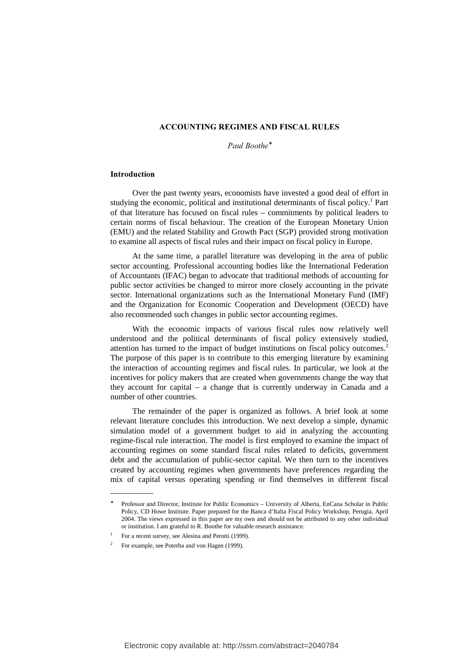### ACCOUNTING REGIMES AND FISCAL RULES

Paul Boothe<sup>\*</sup>

### **Introduction**

Over the past twenty years, economists have invested a good deal of effort in studying the economic, political and institutional determinants of fiscal policy.<sup>1</sup> Part of that literature has focused on fiscal rules – commitments by political leaders to certain norms of fiscal behaviour. The creation of the European Monetary Union (EMU) and the related Stability and Growth Pact (SGP) provided strong motivation to examine all aspects of fiscal rules and their impact on fiscal policy in Europe.

At the same time, a parallel literature was developing in the area of public sector accounting. Professional accounting bodies like the International Federation of Accountants (IFAC) began to advocate that traditional methods of accounting for public sector activities be changed to mirror more closely accounting in the private sector. International organizations such as the International Monetary Fund (IMF) and the Organization for Economic Cooperation and Development (OECD) have also recommended such changes in public sector accounting regimes.

With the economic impacts of various fiscal rules now relatively well understood and the political determinants of fiscal policy extensively studied, attention has turned to the impact of budget institutions on fiscal policy outcomes.<sup>2</sup> The purpose of this paper is to contribute to this emerging literature by examining the interaction of accounting regimes and fiscal rules. In particular, we look at the incentives for policy makers that are created when governments change the way that they account for capital – a change that is currently underway in Canada and a number of other countries.

The remainder of the paper is organized as follows. A brief look at some relevant literature concludes this introduction. We next develop a simple, dynamic simulation model of a government budget to aid in analyzing the accounting regime-fiscal rule interaction. The model is first employed to examine the impact of accounting regimes on some standard fiscal rules related to deficits, government debt and the accumulation of public-sector capital. We then turn to the incentives created by accounting regimes when governments have preferences regarding the mix of capital versus operating spending or find themselves in different fiscal

—————

<sup>∗</sup> Professor and Director, Institute for Public Economics – University of Alberta, EnCana Scholar in Public Policy, CD Howe Institute. Paper prepared for the Banca d'Italia Fiscal Policy Workshop, Perugia, April 2004. The views expressed in this paper are my own and should not be attributed to any other individual or institution. I am grateful to R. Boothe for valuable research assistance.

For a recent survey, see Alesina and Perotti (1999).

<sup>&</sup>lt;sup>2</sup> For example, see Poterba and von Hagen (1999).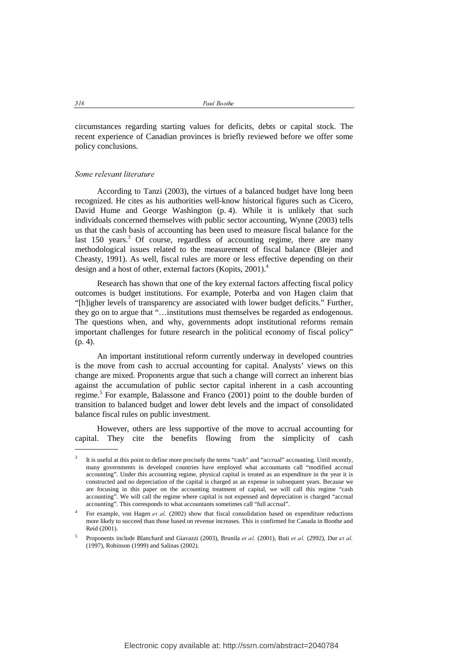circumstances regarding starting values for deficits, debts or capital stock. The recent experience of Canadian provinces is briefly reviewed before we offer some policy conclusions.

### Some relevant literature

—————

According to Tanzi (2003), the virtues of a balanced budget have long been recognized. He cites as his authorities well-know historical figures such as Cicero, David Hume and George Washington (p. 4). While it is unlikely that such individuals concerned themselves with public sector accounting, Wynne (2003) tells us that the cash basis of accounting has been used to measure fiscal balance for the last 150 years.<sup>3</sup> Of course, regardless of accounting regime, there are many methodological issues related to the measurement of fiscal balance (Blejer and Cheasty, 1991). As well, fiscal rules are more or less effective depending on their design and a host of other, external factors (Kopits, 2001).<sup>4</sup>

Research has shown that one of the key external factors affecting fiscal policy outcomes is budget institutions. For example, Poterba and von Hagen claim that "[h]igher levels of transparency are associated with lower budget deficits." Further, they go on to argue that "…institutions must themselves be regarded as endogenous. The questions when, and why, governments adopt institutional reforms remain important challenges for future research in the political economy of fiscal policy" (p. 4).

An important institutional reform currently underway in developed countries is the move from cash to accrual accounting for capital. Analysts' views on this change are mixed. Proponents argue that such a change will correct an inherent bias against the accumulation of public sector capital inherent in a cash accounting regime.<sup>5</sup> For example, Balassone and Franco (2001) point to the double burden of transition to balanced budget and lower debt levels and the impact of consolidated balance fiscal rules on public investment.

However, others are less supportive of the move to accrual accounting for capital. They cite the benefits flowing from the simplicity of cash

It is useful at this point to define more precisely the terms "cash" and "accrual" accounting. Until recently, many governments in developed countries have employed what accountants call "modified accrual accounting". Under this accounting regime, physical capital is treated as an expenditure in the year it is constructed and no depreciation of the capital is charged as an expense in subsequent years. Because we are focusing in this paper on the accounting treatment of capital, we will call this regime "cash accounting". We will call the regime where capital is not expensed and depreciation is charged "accrual accounting". This corresponds to what accountants sometimes call "full accrual".

For example, von Hagen et al. (2002) show that fiscal consolidation based on expenditure reductions more likely to succeed than those based on revenue increases. This is confirmed for Canada in Boothe and Reid (2001).

Proponents include Blanchard and Giavazzi (2003), Brunila et al. (2001), Buti et al. (2992), Dur et al. (1997), Robinson (1999) and Salinas (2002).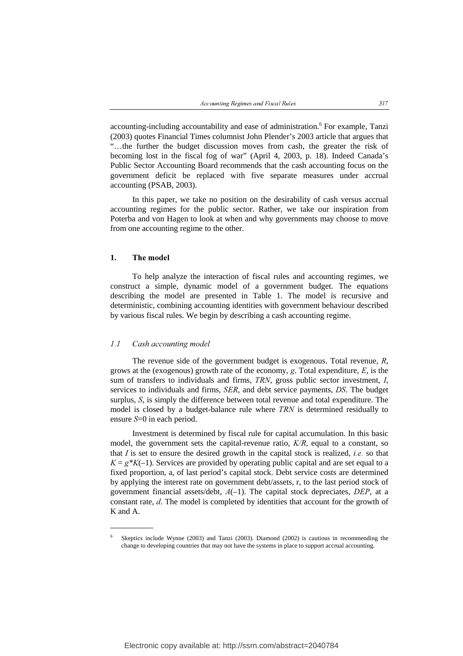accounting-including accountability and ease of administration.<sup>6</sup> For example, Tanzi (2003) quotes Financial Times columnist John Plender's 2003 article that argues that "…the further the budget discussion moves from cash, the greater the risk of becoming lost in the fiscal fog of war" (April 4, 2003, p. 18). Indeed Canada's Public Sector Accounting Board recommends that the cash accounting focus on the government deficit be replaced with five separate measures under accrual accounting (PSAB, 2003).

In this paper, we take no position on the desirability of cash versus accrual accounting regimes for the public sector. Rather, we take our inspiration from Poterba and von Hagen to look at when and why governments may choose to move from one accounting regime to the other.

### 1. The model

—————

To help analyze the interaction of fiscal rules and accounting regimes, we construct a simple, dynamic model of a government budget. The equations describing the model are presented in Table 1. The model is recursive and deterministic, combining accounting identities with government behaviour described by various fiscal rules. We begin by describing a cash accounting regime.

#### $1.1$ sh accounting model

The revenue side of the government budget is exogenous. Total revenue, *,* grows at the (exogenous) growth rate of the economy,  $g$ . Total expenditure,  $E$ , is the sum of transfers to individuals and firms,  $TRN$ , gross public sector investment,  $I$ , services to individuals and firms,  $SER$ , and debt service payments,  $DS$ . The budget surplus,  $S$ , is simply the difference between total revenue and total expenditure. The model is closed by a budget-balance rule where  $TRN$  is determined residually to ensure  $S=0$  in each period.

Investment is determined by fiscal rule for capital accumulation. In this basic model, the government sets the capital-revenue ratio,  $K/R$ , equal to a constant, so that  $I$  is set to ensure the desired growth in the capital stock is realized, *i.e.* so that  $K = g^*K(-1)$ . Services are provided by operating public capital and are set equal to a fixed proportion, a, of last period's capital stock. Debt service costs are determined by applying the interest rate on government debt/assets, r, to the last period stock of government financial assets/debt,  $A(-1)$ . The capital stock depreciates, DEP, at a constant rate,  $d$ . The model is completed by identities that account for the growth of K and A.

<sup>6</sup> Skeptics include Wynne (2003) and Tanzi (2003). Diamond (2002) is cautious in recommending the change to developing countries that may not have the systems in place to support accrual accounting.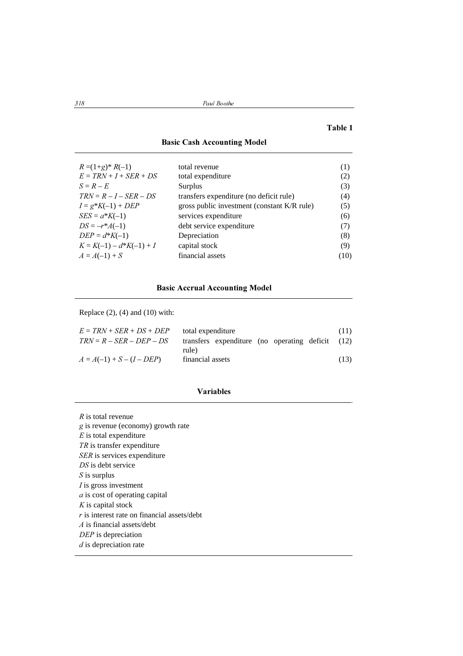**Basic Cash Accounting Model** 

| total revenue                               | (1)  |
|---------------------------------------------|------|
| total expenditure                           | (2)  |
| Surplus                                     | (3)  |
| transfers expenditure (no deficit rule)     | (4)  |
| gross public investment (constant K/R rule) | (5)  |
| services expenditure                        | (6)  |
| debt service expenditure                    | (7)  |
| Depreciation                                | (8)  |
| capital stock                               | (9)  |
| financial assets                            | (10) |
|                                             |      |

### **Basic Accrual Accounting Model**

Replace (2), (4) and (10) with:

| $E = TRN + SER + DS + DEP$  | total expenditure                           | (11) |
|-----------------------------|---------------------------------------------|------|
| $TRN = R - SER - DEP - DS$  | transfers expenditure (no operating deficit | (12) |
|                             | rule)                                       |      |
| $A = A(-1) + S - (I - DEP)$ | financial assets                            | (13) |

### **Variables**

 $R$  is total revenue  $g$  is revenue (economy) growth rate  $E$  is total expenditure  $TR$  is transfer expenditure SER is services expenditure DS is debt service  $S$  is surplus  $I$  is gross investment  $a$  is cost of operating capital  $K$  is capital stock  $r$  is interest rate on financial assets/debt  $\Lambda$  is financial assets/debt  $DEP$  is depreciation  $d$  is depreciation rate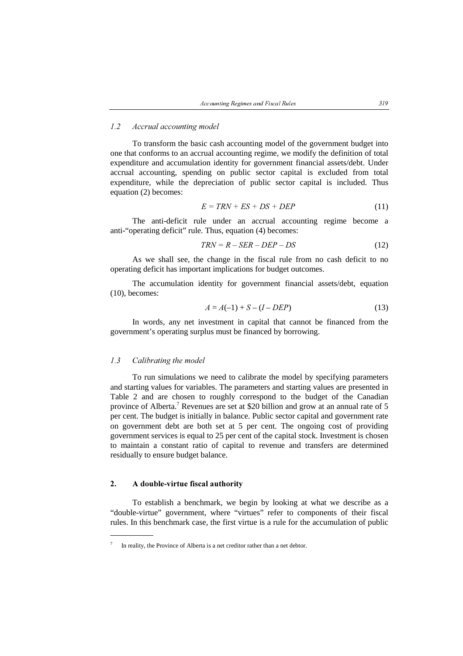### 1.2 Accrual accounting model

To transform the basic cash accounting model of the government budget into one that conforms to an accrual accounting regime, we modify the definition of total expenditure and accumulation identity for government financial assets/debt. Under accrual accounting, spending on public sector capital is excluded from total expenditure, while the depreciation of public sector capital is included. Thus equation (2) becomes:

$$
E = TRN + ES + DS + DEP \tag{11}
$$

The anti-deficit rule under an accrual accounting regime become a anti-"operating deficit" rule. Thus, equation (4) becomes:

$$
TRN = R - SER - DEP - DS \tag{12}
$$

As we shall see, the change in the fiscal rule from no cash deficit to no operating deficit has important implications for budget outcomes.

The accumulation identity for government financial assets/debt, equation (10), becomes:

$$
A = A(-1) + S - (I - DEP)
$$
 (13)

In words, any net investment in capital that cannot be financed from the government's operating surplus must be financed by borrowing.

#### $1.3$ librating the model

To run simulations we need to calibrate the model by specifying parameters and starting values for variables. The parameters and starting values are presented in Table 2 and are chosen to roughly correspond to the budget of the Canadian province of Alberta.<sup>7</sup> Revenues are set at \$20 billion and grow at an annual rate of 5 per cent. The budget is initially in balance. Public sector capital and government rate on government debt are both set at 5 per cent. The ongoing cost of providing government services is equal to 25 per cent of the capital stock. Investment is chosen to maintain a constant ratio of capital to revenue and transfers are determined residually to ensure budget balance.

### 2. A double-virtue fiscal authority

—————

To establish a benchmark, we begin by looking at what we describe as a "double-virtue" government, where "virtues" refer to components of their fiscal rules. In this benchmark case, the first virtue is a rule for the accumulation of public

In reality, the Province of Alberta is a net creditor rather than a net debtor.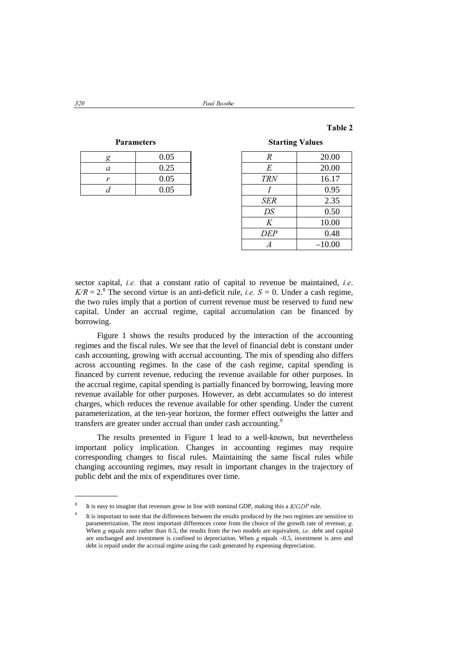|   | 0.05 |
|---|------|
| a | 0.25 |
|   | 0.05 |
|   | 0.05 |

**Parameters** Starting Values

| g | 0.05 | R          | 20.00    |
|---|------|------------|----------|
| а | 0.25 | E          | 20.00    |
| r | 0.05 | <b>TRN</b> | 16.17    |
| d | 0.05 |            | 0.95     |
|   |      | <b>SER</b> | 2.35     |
|   |      | DS         | 0.50     |
|   |      | Κ          | 10.00    |
|   |      | <b>DEP</b> | 0.48     |
|   |      |            | $-10.00$ |

sector capital, *i.e.* that a constant ratio of capital to revenue be maintained, *i.e.*  $K/R = 2<sup>8</sup>$ . The second virtue is an anti-deficit rule, *i.e.*  $S = 0$ . Under a cash regime, the two rules imply that a portion of current revenue must be reserved to fund new capital. Under an accrual regime, capital accumulation can be financed by borrowing.

Figure 1 shows the results produced by the interaction of the accounting regimes and the fiscal rules. We see that the level of financial debt is constant under cash accounting, growing with accrual accounting. The mix of spending also differs across accounting regimes. In the case of the cash regime, capital spending is financed by current revenue, reducing the revenue available for other purposes. In the accrual regime, capital spending is partially financed by borrowing, leaving more revenue available for other purposes. However, as debt accumulates so do interest charges, which reduces the revenue available for other spending. Under the current parameterization, at the ten-year horizon, the former effect outweighs the latter and transfers are greater under accrual than under cash accounting.<sup>9</sup>

The results presented in Figure 1 lead to a well-known, but nevertheless important policy implication. Changes in accounting regimes may require corresponding changes to fiscal rules. Maintaining the same fiscal rules while changing accounting regimes, may result in important changes in the trajectory of public debt and the mix of expenditures over time.

—————

It is easy to imagine that revenues grow in line with nominal GDP, making this a  $K/GDP$  rule.

<sup>9</sup> It is important to note that the differences between the results produced by the two regimes are sensitive to parameterization. The most important differences come from the choice of the growth rate of revenue, g. When g equals zero rather than 0.5, the results from the two models are equivalent, *i.e.* debt and capital are unchanged and investment is confined to depreciation. When  $g$  equals  $-0.5$ , investment is zero and debt is repaid under the accrual regime using the cash generated by expensing depreciation.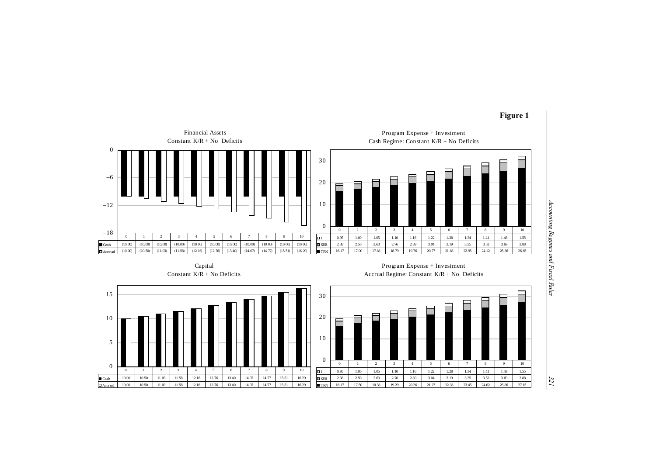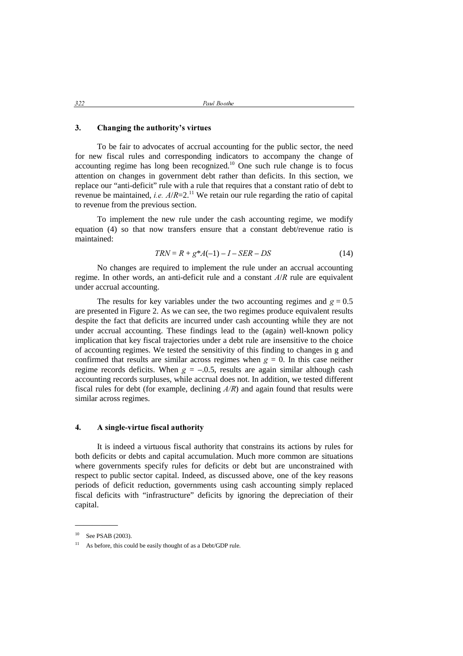#### $3<sub>1</sub>$ Changing the authority's virtues

To be fair to advocates of accrual accounting for the public sector, the need for new fiscal rules and corresponding indicators to accompany the change of accounting regime has long been recognized.<sup>10</sup> One such rule change is to focus attention on changes in government debt rather than deficits. In this section, we replace our "anti-deficit" rule with a rule that requires that a constant ratio of debt to revenue be maintained, *i.e.*  $A/R=2$ .<sup>11</sup> We retain our rule regarding the ratio of capital to revenue from the previous section.

To implement the new rule under the cash accounting regime, we modify equation (4) so that now transfers ensure that a constant debt/revenue ratio is maintained:

$$
TRN = R + g^*A(-1) - I - SER - DS \tag{14}
$$

No changes are required to implement the rule under an accrual accounting regime. In other words, an anti-deficit rule and a constant  $A/R$  rule are equivalent under accrual accounting.

The results for key variables under the two accounting regimes and  $g = 0.5$ are presented in Figure 2. As we can see, the two regimes produce equivalent results despite the fact that deficits are incurred under cash accounting while they are not under accrual accounting. These findings lead to the (again) well-known policy implication that key fiscal trajectories under a debt rule are insensitive to the choice of accounting regimes. We tested the sensitivity of this finding to changes in g and confirmed that results are similar across regimes when  $g = 0$ . In this case neither regime records deficits. When  $g = -0.5$ , results are again similar although cash accounting records surpluses, while accrual does not. In addition, we tested different fiscal rules for debt (for example, declining  $A/R$ ) and again found that results were similar across regimes.

#### $4.$ A single-virtue fiscal authority

It is indeed a virtuous fiscal authority that constrains its actions by rules for both deficits or debts and capital accumulation. Much more common are situations where governments specify rules for deficits or debt but are unconstrained with respect to public sector capital. Indeed, as discussed above, one of the key reasons periods of deficit reduction, governments using cash accounting simply replaced fiscal deficits with "infrastructure" deficits by ignoring the depreciation of their capital.

—————

<sup>&</sup>lt;sup>10</sup> See PSAB (2003).

<sup>&</sup>lt;sup>11</sup> As before, this could be easily thought of as a Debt/GDP rule.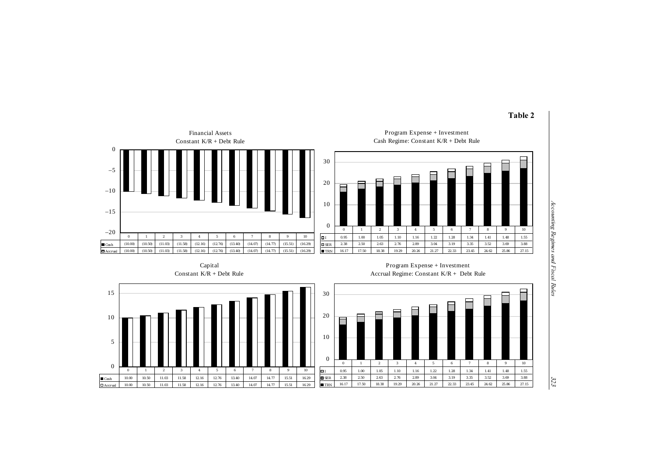

323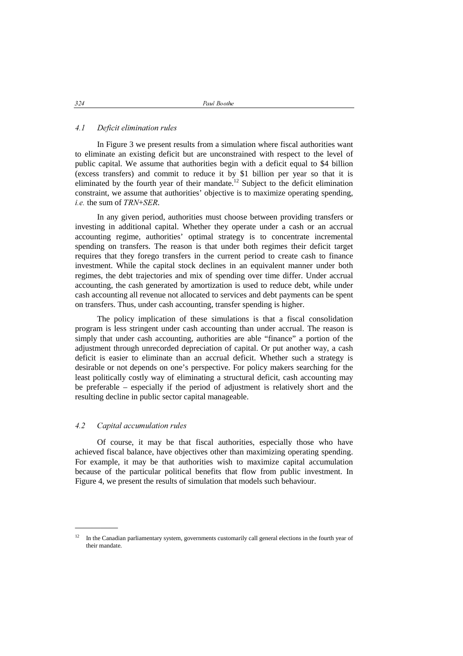#### $4.1$ 1 Deficit elimination rules

In Figure 3 we present results from a simulation where fiscal authorities want to eliminate an existing deficit but are unconstrained with respect to the level of public capital. We assume that authorities begin with a deficit equal to \$4 billion (excess transfers) and commit to reduce it by \$1 billion per year so that it is eliminated by the fourth year of their mandate.<sup>12</sup> Subject to the deficit elimination constraint, we assume that authorities' objective is to maximize operating spending, *i.e.* the sum of TRN+SER.

In any given period, authorities must choose between providing transfers or investing in additional capital. Whether they operate under a cash or an accrual accounting regime, authorities' optimal strategy is to concentrate incremental spending on transfers. The reason is that under both regimes their deficit target requires that they forego transfers in the current period to create cash to finance investment. While the capital stock declines in an equivalent manner under both regimes, the debt trajectories and mix of spending over time differ. Under accrual accounting, the cash generated by amortization is used to reduce debt, while under cash accounting all revenue not allocated to services and debt payments can be spent on transfers. Thus, under cash accounting, transfer spending is higher.

The policy implication of these simulations is that a fiscal consolidation program is less stringent under cash accounting than under accrual. The reason is simply that under cash accounting, authorities are able "finance" a portion of the adjustment through unrecorded depreciation of capital. Or put another way, a cash deficit is easier to eliminate than an accrual deficit. Whether such a strategy is desirable or not depends on one's perspective. For policy makers searching for the least politically costly way of eliminating a structural deficit, cash accounting may be preferable – especially if the period of adjustment is relatively short and the resulting decline in public sector capital manageable.

#### $4.2$ 2 Capital accumulation rules

—————

Of course, it may be that fiscal authorities, especially those who have achieved fiscal balance, have objectives other than maximizing operating spending. For example, it may be that authorities wish to maximize capital accumulation because of the particular political benefits that flow from public investment. In Figure 4, we present the results of simulation that models such behaviour.

<sup>&</sup>lt;sup>12</sup> In the Canadian parliamentary system, governments customarily call general elections in the fourth year of their mandate.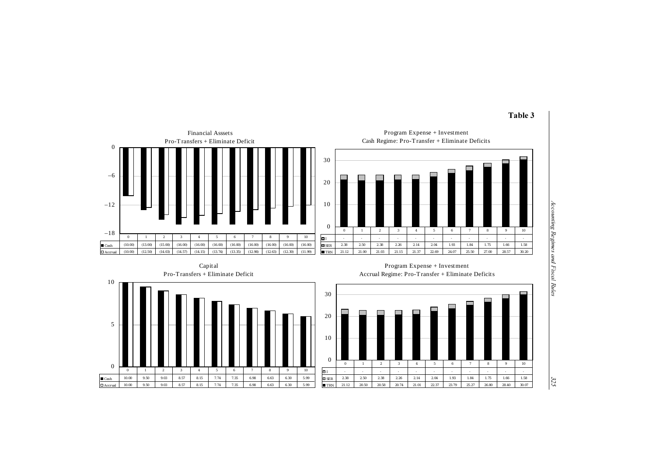

325

Accounting Regimes and Fiscal Rules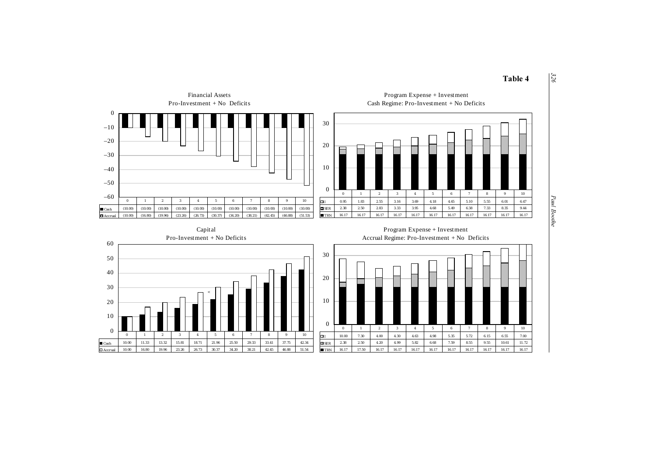



TRN 16.17 17.50 16.17 16.17 16.17 16.17 16.17 16.17 16.17 16.17 16.17 16.17

326

Paul Boothe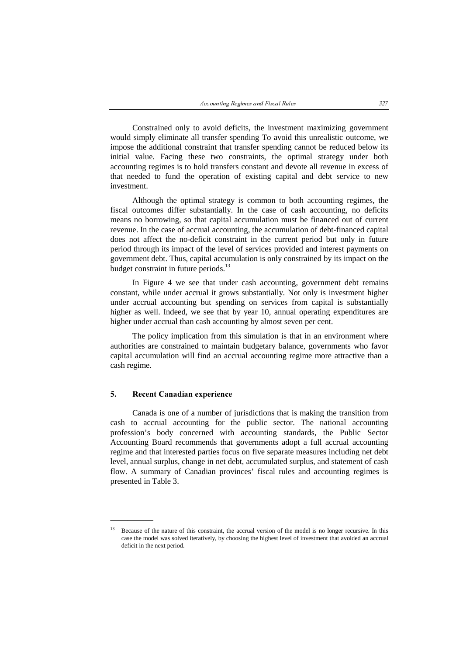Constrained only to avoid deficits, the investment maximizing government would simply eliminate all transfer spending To avoid this unrealistic outcome, we impose the additional constraint that transfer spending cannot be reduced below its initial value. Facing these two constraints, the optimal strategy under both accounting regimes is to hold transfers constant and devote all revenue in excess of that needed to fund the operation of existing capital and debt service to new investment.

Although the optimal strategy is common to both accounting regimes, the fiscal outcomes differ substantially. In the case of cash accounting, no deficits means no borrowing, so that capital accumulation must be financed out of current revenue. In the case of accrual accounting, the accumulation of debt-financed capital does not affect the no-deficit constraint in the current period but only in future period through its impact of the level of services provided and interest payments on government debt. Thus, capital accumulation is only constrained by its impact on the budget constraint in future periods.<sup>13</sup>

In Figure 4 we see that under cash accounting, government debt remains constant, while under accrual it grows substantially. Not only is investment higher under accrual accounting but spending on services from capital is substantially higher as well. Indeed, we see that by year 10, annual operating expenditures are higher under accrual than cash accounting by almost seven per cent.

The policy implication from this simulation is that in an environment where authorities are constrained to maintain budgetary balance, governments who favor capital accumulation will find an accrual accounting regime more attractive than a cash regime.

#### $\mathbf{5}$ . **Recent Canadian experience**

—————

Canada is one of a number of jurisdictions that is making the transition from cash to accrual accounting for the public sector. The national accounting profession's body concerned with accounting standards, the Public Sector Accounting Board recommends that governments adopt a full accrual accounting regime and that interested parties focus on five separate measures including net debt level, annual surplus, change in net debt, accumulated surplus, and statement of cash flow. A summary of Canadian provinces' fiscal rules and accounting regimes is presented in Table 3.

<sup>13</sup> Because of the nature of this constraint, the accrual version of the model is no longer recursive. In this case the model was solved iteratively, by choosing the highest level of investment that avoided an accrual deficit in the next period.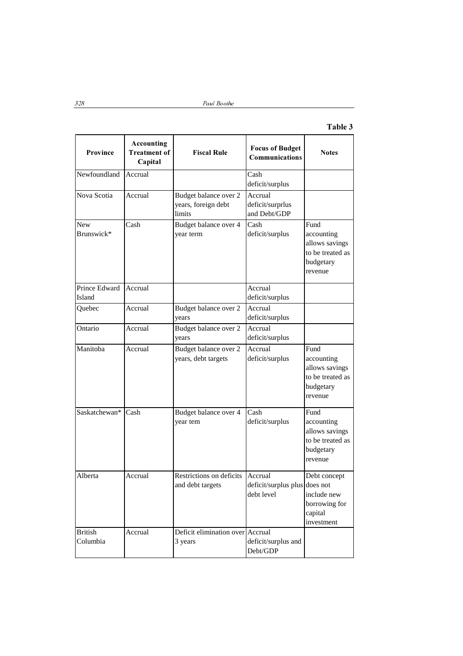328 Paul Boothe

### Table 3

| <b>Province</b>            | <b>Accounting</b><br><b>Treatment of</b><br>Capital | <b>Fiscal Rule</b>                                     | <b>Focus of Budget</b><br>Communications               | <b>Notes</b>                                                                     |
|----------------------------|-----------------------------------------------------|--------------------------------------------------------|--------------------------------------------------------|----------------------------------------------------------------------------------|
| Newfoundland               | Accrual                                             |                                                        | Cash<br>deficit/surplus                                |                                                                                  |
| Nova Scotia                | Accrual                                             | Budget balance over 2<br>years, foreign debt<br>limits | Accrual<br>deficit/surprlus<br>and Debt/GDP            |                                                                                  |
| <b>New</b><br>Brunswick*   | Cash                                                | Budget balance over 4<br>year term                     | Cash<br>deficit/surplus                                | Fund<br>accounting<br>allows savings<br>to be treated as<br>budgetary<br>revenue |
| Prince Edward<br>Island    | Accrual                                             |                                                        | Accrual<br>deficit/surplus                             |                                                                                  |
| Quebec                     | Accrual                                             | Budget balance over 2<br>years                         | Accrual<br>deficit/surplus                             |                                                                                  |
| Ontario                    | Accrual                                             | Budget balance over 2<br>vears                         | Accrual<br>deficit/surplus                             |                                                                                  |
| Manitoba                   | Accrual                                             | Budget balance over 2<br>years, debt targets           | Accrual<br>deficit/surplus                             | Fund<br>accounting<br>allows savings<br>to be treated as<br>budgetary<br>revenue |
| Saskatchewan*              | Cash                                                | Budget balance over 4<br>year tem                      | Cash<br>deficit/surplus                                | Fund<br>accounting<br>allows savings<br>to be treated as<br>budgetary<br>revenue |
| Alberta                    | Accrual                                             | Restrictions on deficits<br>and debt targets           | Accrual<br>deficit/surplus plus does not<br>debt level | Debt concept<br>include new<br>borrowing for<br>capital<br>investment            |
| <b>British</b><br>Columbia | Accrual                                             | Deficit elimination over Accrual<br>3 years            | deficit/surplus and<br>Debt/GDP                        |                                                                                  |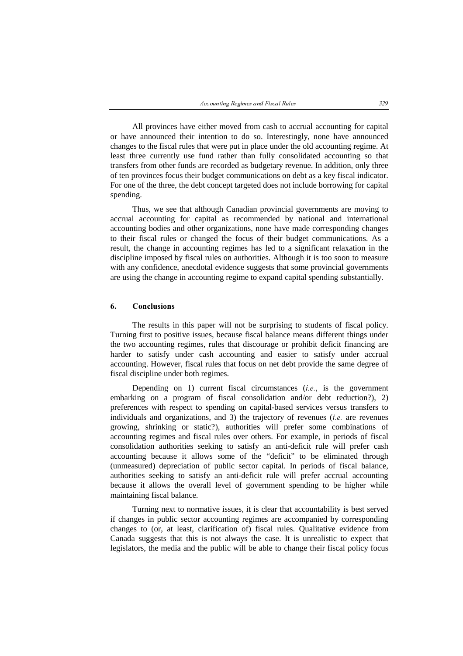All provinces have either moved from cash to accrual accounting for capital or have announced their intention to do so. Interestingly, none have announced changes to the fiscal rules that were put in place under the old accounting regime. At least three currently use fund rather than fully consolidated accounting so that transfers from other funds are recorded as budgetary revenue. In addition, only three of ten provinces focus their budget communications on debt as a key fiscal indicator. For one of the three, the debt concept targeted does not include borrowing for capital spending.

Thus, we see that although Canadian provincial governments are moving to accrual accounting for capital as recommended by national and international accounting bodies and other organizations, none have made corresponding changes to their fiscal rules or changed the focus of their budget communications. As a result, the change in accounting regimes has led to a significant relaxation in the discipline imposed by fiscal rules on authorities. Although it is too soon to measure with any confidence, anecdotal evidence suggests that some provincial governments are using the change in accounting regime to expand capital spending substantially.

#### 6. **Conclusions**

The results in this paper will not be surprising to students of fiscal policy. Turning first to positive issues, because fiscal balance means different things under the two accounting regimes, rules that discourage or prohibit deficit financing are harder to satisfy under cash accounting and easier to satisfy under accrual accounting. However, fiscal rules that focus on net debt provide the same degree of fiscal discipline under both regimes.

Depending on 1) current fiscal circumstances  $(i.e.,$  is the government embarking on a program of fiscal consolidation and/or debt reduction?), 2) preferences with respect to spending on capital-based services versus transfers to individuals and organizations, and 3) the trajectory of revenues  $(i.e.$  are revenues growing, shrinking or static?), authorities will prefer some combinations of accounting regimes and fiscal rules over others. For example, in periods of fiscal consolidation authorities seeking to satisfy an anti-deficit rule will prefer cash accounting because it allows some of the "deficit" to be eliminated through (unmeasured) depreciation of public sector capital. In periods of fiscal balance, authorities seeking to satisfy an anti-deficit rule will prefer accrual accounting because it allows the overall level of government spending to be higher while maintaining fiscal balance.

Turning next to normative issues, it is clear that accountability is best served if changes in public sector accounting regimes are accompanied by corresponding changes to (or, at least, clarification of) fiscal rules. Qualitative evidence from Canada suggests that this is not always the case. It is unrealistic to expect that legislators, the media and the public will be able to change their fiscal policy focus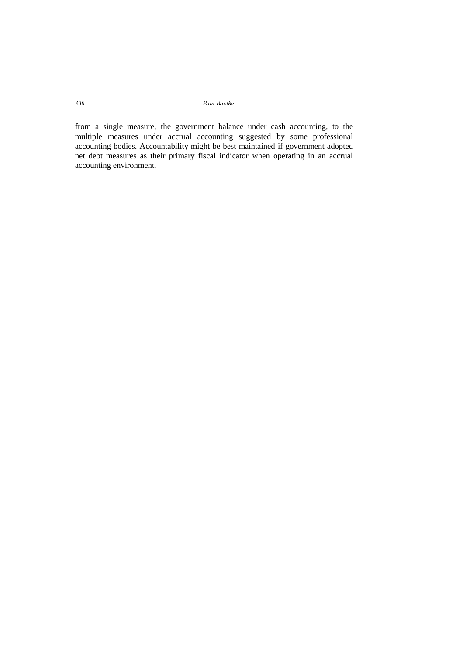from a single measure, the government balance under cash accounting, to the multiple measures under accrual accounting suggested by some professional accounting bodies. Accountability might be best maintained if government adopted net debt measures as their primary fiscal indicator when operating in an accrual accounting environment.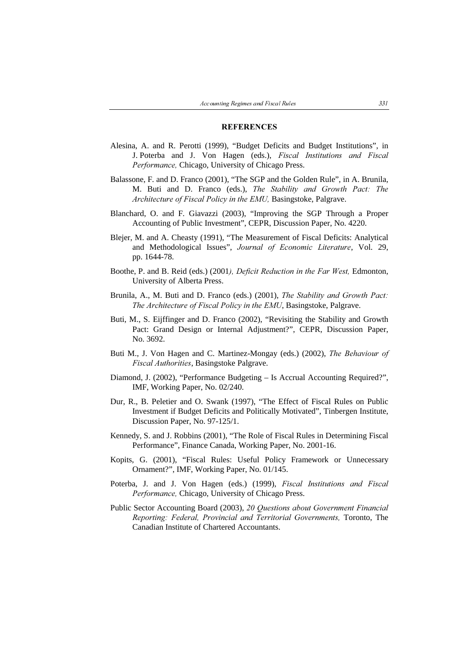### **REFERENCES**

- Alesina, A. and R. Perotti (1999), "Budget Deficits and Budget Institutions", in J. Poterba and J. Von Hagen (eds.), Fiscal Institutions and Fiscal Performance, Chicago, University of Chicago Press.
- Balassone, F. and D. Franco (2001), "The SGP and the Golden Rule", in A. Brunila, M. Buti and D. Franco (eds.), The Stability and Growth Pact: The Architecture of Fiscal Policy in the EMU, Basingstoke, Palgrave.
- Blanchard, O. and F. Giavazzi (2003), "Improving the SGP Through a Proper Accounting of Public Investment", CEPR, Discussion Paper, No. 4220.
- Blejer, M. and A. Cheasty (1991), "The Measurement of Fiscal Deficits: Analytical and Methodological Issues", Journal of Economic Literature, Vol. 29, pp. 1644-78.
- Boothe, P. and B. Reid (eds.) (2001), *Deficit Reduction in the Far West*, Edmonton, University of Alberta Press.
- Brunila, A., M. Buti and D. Franco (eds.) (2001), The Stability and Growth Pact: The Architecture of Fiscal Policy in the EMU, Basingstoke, Palgrave.
- Buti, M., S. Eijffinger and D. Franco (2002), "Revisiting the Stability and Growth Pact: Grand Design or Internal Adjustment?", CEPR, Discussion Paper, No. 3692.
- Buti M., J. Von Hagen and C. Martinez-Mongay (eds.) (2002), The Behaviour of Fiscal Authorities, Basingstoke Palgrave.
- Diamond, J. (2002), "Performance Budgeting Is Accrual Accounting Required?", IMF, Working Paper, No. 02/240.
- Dur, R., B. Peletier and O. Swank (1997), "The Effect of Fiscal Rules on Public Investment if Budget Deficits and Politically Motivated", Tinbergen Institute, Discussion Paper, No. 97-125/1.
- Kennedy, S. and J. Robbins (2001), "The Role of Fiscal Rules in Determining Fiscal Performance", Finance Canada, Working Paper, No. 2001-16.
- Kopits, G. (2001), "Fiscal Rules: Useful Policy Framework or Unnecessary Ornament?", IMF, Working Paper, No. 01/145.
- Poterba, J. and J. Von Hagen (eds.) (1999), Fiscal Institutions and Fiscal Performance, Chicago, University of Chicago Press.
- Public Sector Accounting Board (2003), 20 Questions about Government Financial Reporting: Federal, Provincial and Territorial Governments, Toronto, The Canadian Institute of Chartered Accountants.